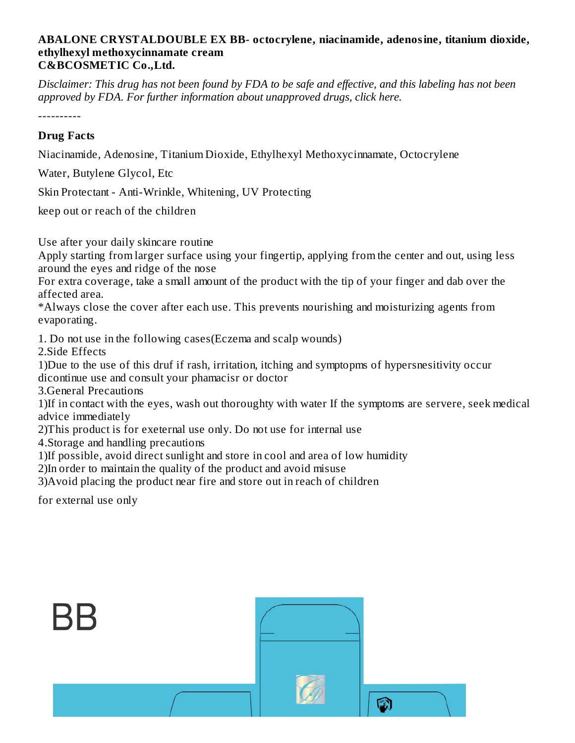#### **ABALONE CRYSTALDOUBLE EX BB- octocrylene, niacinamide, adenosine, titanium dioxide, ethylhexyl methoxycinnamate cream C&BCOSMETIC Co.,Ltd.**

Disclaimer: This drug has not been found by FDA to be safe and effective, and this labeling has not been *approved by FDA. For further information about unapproved drugs, click here.*

----------

### **Drug Facts**

Niacinamide, Adenosine, Titanium Dioxide, Ethylhexyl Methoxycinnamate, Octocrylene

Water, Butylene Glycol, Etc

Skin Protectant - Anti-Wrinkle, Whitening, UV Protecting

keep out or reach of the children

Use after your daily skincare routine

Apply starting from larger surface using your fingertip, applying from the center and out, using less around the eyes and ridge of the nose

For extra coverage, take a small amount of the product with the tip of your finger and dab over the affected area.

\*Always close the cover after each use. This prevents nourishing and moisturizing agents from evaporating.

1. Do not use in the following cases(Eczema and scalp wounds) 2.Side Effects

1)Due to the use of this druf if rash, irritation, itching and symptopms of hypersnesitivity occur dicontinue use and consult your phamacisr or doctor

3.General Precautions

1)If in contact with the eyes, wash out thoroughty with water If the symptoms are servere, seek medical advice immediately

2)This product is for exeternal use only. Do not use for internal use

4.Storage and handling precautions

1)If possible, avoid direct sunlight and store in cool and area of low humidity

2)In order to maintain the quality of the product and avoid misuse

3)Avoid placing the product near fire and store out in reach of children

for external use only

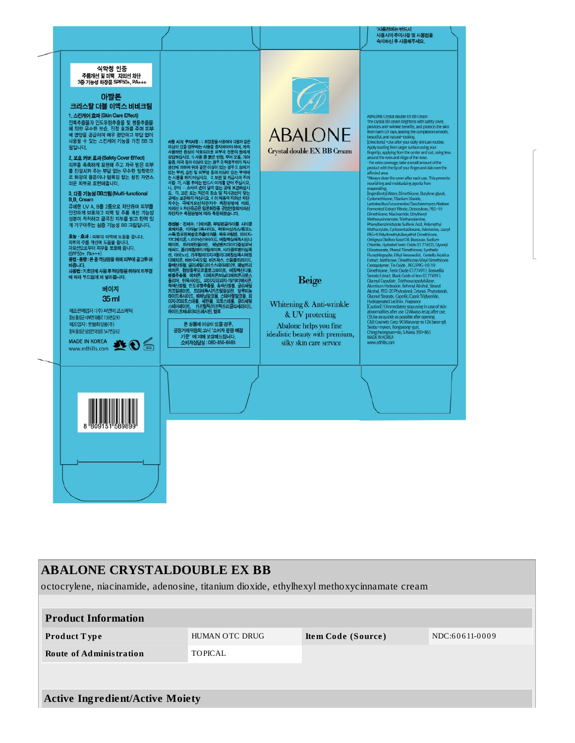

### **ABALONE CRYSTALDOUBLE EX BB**

octocrylene, niacinamide, adenosine, titanium dioxide, ethylhexyl methoxycinnamate cream

| <b>Product Information</b>             |                |                    |                |  |  |  |
|----------------------------------------|----------------|--------------------|----------------|--|--|--|
| <b>Product Type</b>                    | HUMAN OTC DRUG | Item Code (Source) | NDC:60611-0009 |  |  |  |
| <b>Route of Administration</b>         | <b>TOPICAL</b> |                    |                |  |  |  |
|                                        |                |                    |                |  |  |  |
| <b>Active Ingredient/Active Moiety</b> |                |                    |                |  |  |  |